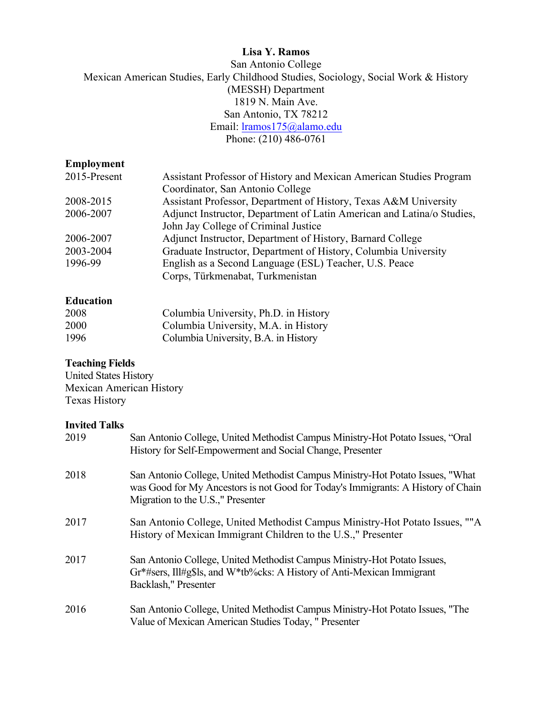# **Lisa Y. Ramos**

San Antonio College Mexican American Studies, Early Childhood Studies, Sociology, Social Work & History (MESSH) Department 1819 N. Main Ave. San Antonio, TX 78212 Email: *lramos175@alamo.edu* Phone: (210) 486-0761

## **Employment**

| 2015-Present | Assistant Professor of History and Mexican American Studies Program    |
|--------------|------------------------------------------------------------------------|
|              | Coordinator, San Antonio College                                       |
| 2008-2015    | Assistant Professor, Department of History, Texas A&M University       |
| 2006-2007    | Adjunct Instructor, Department of Latin American and Latina/o Studies, |
|              | John Jay College of Criminal Justice                                   |
| 2006-2007    | Adjunct Instructor, Department of History, Barnard College             |
| 2003-2004    | Graduate Instructor, Department of History, Columbia University        |
| 1996-99      | English as a Second Language (ESL) Teacher, U.S. Peace                 |
|              | Corps, Türkmenabat, Turkmenistan                                       |

# **Education**

| 2008        | Columbia University, Ph.D. in History |
|-------------|---------------------------------------|
| <b>2000</b> | Columbia University, M.A. in History  |
| 1996        | Columbia University, B.A. in History  |

# **Teaching Fields**

United States History Mexican American History Texas History

#### **Invited Talks**

| 2019 | San Antonio College, United Methodist Campus Ministry-Hot Potato Issues, "Oral<br>History for Self-Empowerment and Social Change, Presenter                                                             |
|------|---------------------------------------------------------------------------------------------------------------------------------------------------------------------------------------------------------|
| 2018 | San Antonio College, United Methodist Campus Ministry-Hot Potato Issues, "What<br>was Good for My Ancestors is not Good for Today's Immigrants: A History of Chain<br>Migration to the U.S.," Presenter |
| 2017 | San Antonio College, United Methodist Campus Ministry-Hot Potato Issues, ""A<br>History of Mexican Immigrant Children to the U.S.," Presenter                                                           |
| 2017 | San Antonio College, United Methodist Campus Ministry-Hot Potato Issues,<br>Gr*#sers, Ill#g\$ls, and W*tb%cks: A History of Anti-Mexican Immigrant<br>Backlash," Presenter                              |
| 2016 | San Antonio College, United Methodist Campus Ministry-Hot Potato Issues, "The<br>Value of Mexican American Studies Today, "Presenter                                                                    |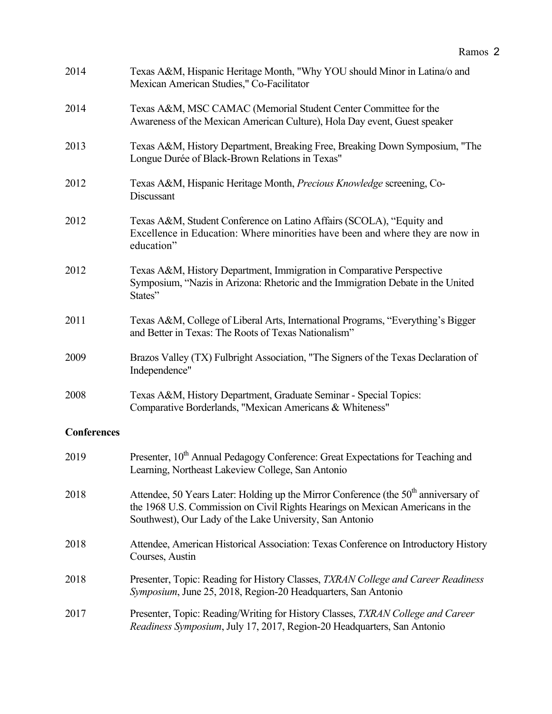| 2014               | Texas A&M, Hispanic Heritage Month, "Why YOU should Minor in Latina/o and<br>Mexican American Studies," Co-Facilitator                                                                                                                       |
|--------------------|----------------------------------------------------------------------------------------------------------------------------------------------------------------------------------------------------------------------------------------------|
| 2014               | Texas A&M, MSC CAMAC (Memorial Student Center Committee for the<br>Awareness of the Mexican American Culture), Hola Day event, Guest speaker                                                                                                 |
| 2013               | Texas A&M, History Department, Breaking Free, Breaking Down Symposium, "The<br>Longue Durée of Black-Brown Relations in Texas"                                                                                                               |
| 2012               | Texas A&M, Hispanic Heritage Month, Precious Knowledge screening, Co-<br>Discussant                                                                                                                                                          |
| 2012               | Texas A&M, Student Conference on Latino Affairs (SCOLA), "Equity and<br>Excellence in Education: Where minorities have been and where they are now in<br>education"                                                                          |
| 2012               | Texas A&M, History Department, Immigration in Comparative Perspective<br>Symposium, "Nazis in Arizona: Rhetoric and the Immigration Debate in the United<br>States"                                                                          |
| 2011               | Texas A&M, College of Liberal Arts, International Programs, "Everything's Bigger<br>and Better in Texas: The Roots of Texas Nationalism"                                                                                                     |
| 2009               | Brazos Valley (TX) Fulbright Association, "The Signers of the Texas Declaration of<br>Independence"                                                                                                                                          |
| 2008               | Texas A&M, History Department, Graduate Seminar - Special Topics:<br>Comparative Borderlands, "Mexican Americans & Whiteness"                                                                                                                |
| <b>Conferences</b> |                                                                                                                                                                                                                                              |
| 2019               | Presenter, 10 <sup>th</sup> Annual Pedagogy Conference: Great Expectations for Teaching and<br>Learning, Northeast Lakeview College, San Antonio                                                                                             |
| 2018               | Attendee, 50 Years Later: Holding up the Mirror Conference (the 50 <sup>th</sup> anniversary of<br>the 1968 U.S. Commission on Civil Rights Hearings on Mexican Americans in the<br>Southwest), Our Lady of the Lake University, San Antonio |
| 2018               | Attendee, American Historical Association: Texas Conference on Introductory History<br>Courses, Austin                                                                                                                                       |
| 2018               | Presenter, Topic: Reading for History Classes, TXRAN College and Career Readiness<br>Symposium, June 25, 2018, Region-20 Headquarters, San Antonio                                                                                           |
| 2017               | Presenter, Topic: Reading/Writing for History Classes, TXRAN College and Career<br>Readiness Symposium, July 17, 2017, Region-20 Headquarters, San Antonio                                                                                   |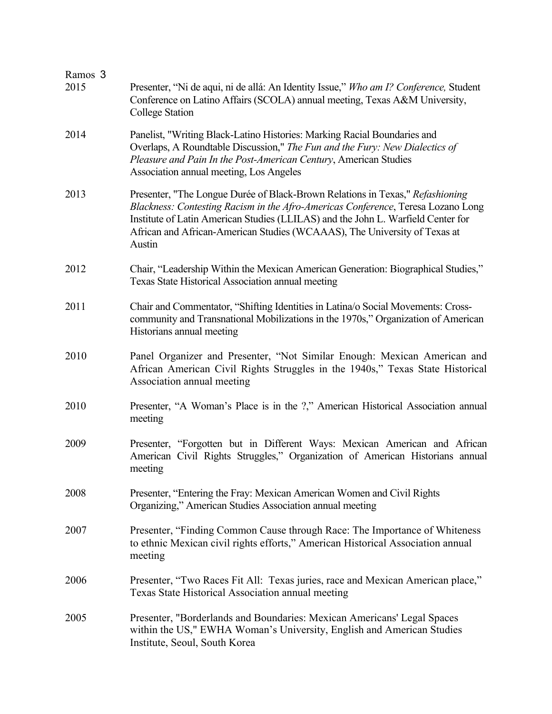| Ramos 3<br>2015 | Presenter, "Ni de aqui, ni de allá: An Identity Issue," Who am I? Conference, Student<br>Conference on Latino Affairs (SCOLA) annual meeting, Texas A&M University,<br><b>College Station</b>                                                                                                                                                |
|-----------------|----------------------------------------------------------------------------------------------------------------------------------------------------------------------------------------------------------------------------------------------------------------------------------------------------------------------------------------------|
| 2014            | Panelist, "Writing Black-Latino Histories: Marking Racial Boundaries and<br>Overlaps, A Roundtable Discussion," The Fun and the Fury: New Dialectics of<br>Pleasure and Pain In the Post-American Century, American Studies<br>Association annual meeting, Los Angeles                                                                       |
| 2013            | Presenter, "The Longue Durée of Black-Brown Relations in Texas," Refashioning<br>Blackness: Contesting Racism in the Afro-Americas Conference, Teresa Lozano Long<br>Institute of Latin American Studies (LLILAS) and the John L. Warfield Center for<br>African and African-American Studies (WCAAAS), The University of Texas at<br>Austin |
| 2012            | Chair, "Leadership Within the Mexican American Generation: Biographical Studies,"<br>Texas State Historical Association annual meeting                                                                                                                                                                                                       |
| 2011            | Chair and Commentator, "Shifting Identities in Latina/o Social Movements: Cross-<br>community and Transnational Mobilizations in the 1970s," Organization of American<br>Historians annual meeting                                                                                                                                           |
| 2010            | Panel Organizer and Presenter, "Not Similar Enough: Mexican American and<br>African American Civil Rights Struggles in the 1940s," Texas State Historical<br>Association annual meeting                                                                                                                                                      |
| 2010            | Presenter, "A Woman's Place is in the ?," American Historical Association annual<br>meeting                                                                                                                                                                                                                                                  |
| 2009            | Presenter, "Forgotten but in Different Ways: Mexican American and African<br>American Civil Rights Struggles," Organization of American Historians annual<br>meeting                                                                                                                                                                         |
| 2008            | Presenter, "Entering the Fray: Mexican American Women and Civil Rights<br>Organizing," American Studies Association annual meeting                                                                                                                                                                                                           |
| 2007            | Presenter, "Finding Common Cause through Race: The Importance of Whiteness<br>to ethnic Mexican civil rights efforts," American Historical Association annual<br>meeting                                                                                                                                                                     |
| 2006            | Presenter, "Two Races Fit All: Texas juries, race and Mexican American place,"<br>Texas State Historical Association annual meeting                                                                                                                                                                                                          |
| 2005            | Presenter, "Borderlands and Boundaries: Mexican Americans' Legal Spaces<br>within the US," EWHA Woman's University, English and American Studies<br>Institute, Seoul, South Korea                                                                                                                                                            |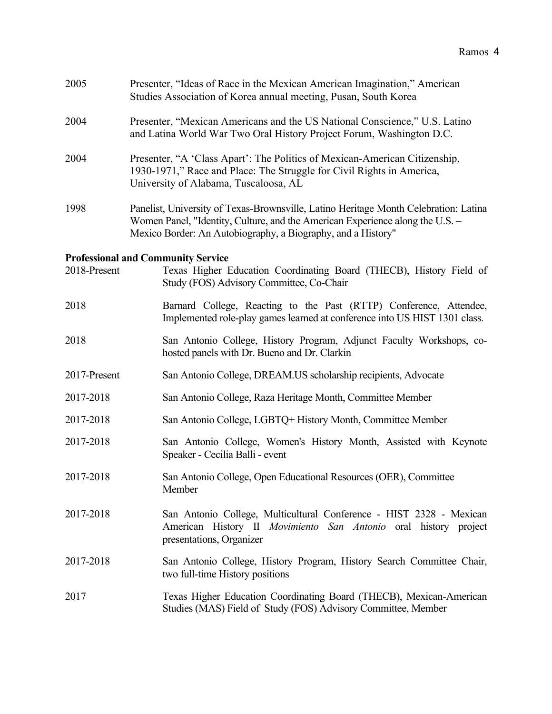| 2005         | Presenter, "Ideas of Race in the Mexican American Imagination," American<br>Studies Association of Korea annual meeting, Pusan, South Korea                                                                                           |
|--------------|---------------------------------------------------------------------------------------------------------------------------------------------------------------------------------------------------------------------------------------|
| 2004         | Presenter, "Mexican Americans and the US National Conscience," U.S. Latino<br>and Latina World War Two Oral History Project Forum, Washington D.C.                                                                                    |
| 2004         | Presenter, "A 'Class Apart': The Politics of Mexican-American Citizenship,<br>1930-1971," Race and Place: The Struggle for Civil Rights in America,<br>University of Alabama, Tuscaloosa, AL                                          |
| 1998         | Panelist, University of Texas-Brownsville, Latino Heritage Month Celebration: Latina<br>Women Panel, "Identity, Culture, and the American Experience along the U.S. -<br>Mexico Border: An Autobiography, a Biography, and a History" |
|              | <b>Professional and Community Service</b>                                                                                                                                                                                             |
| 2018-Present | Texas Higher Education Coordinating Board (THECB), History Field of<br>Study (FOS) Advisory Committee, Co-Chair                                                                                                                       |
| 2018         | Barnard College, Reacting to the Past (RTTP) Conference, Attendee,<br>Implemented role-play games learned at conference into US HIST 1301 class.                                                                                      |
| 2018         | San Antonio College, History Program, Adjunct Faculty Workshops, co-<br>hosted panels with Dr. Bueno and Dr. Clarkin                                                                                                                  |
| 2017-Present | San Antonio College, DREAM.US scholarship recipients, Advocate                                                                                                                                                                        |
| 2017-2018    | San Antonio College, Raza Heritage Month, Committee Member                                                                                                                                                                            |
| 2017-2018    | San Antonio College, LGBTQ+ History Month, Committee Member                                                                                                                                                                           |
| 2017-2018    | San Antonio College, Women's History Month, Assisted with Keynote<br>Speaker - Cecilia Balli - event                                                                                                                                  |
| 2017-2018    | San Antonio College, Open Educational Resources (OER), Committee<br>Member                                                                                                                                                            |
| 2017-2018    | San Antonio College, Multicultural Conference - HIST 2328 - Mexican<br>American History II Movimiento San Antonio oral history project<br>presentations, Organizer                                                                    |
| 2017-2018    | San Antonio College, History Program, History Search Committee Chair,<br>two full-time History positions                                                                                                                              |
| 2017         | Texas Higher Education Coordinating Board (THECB), Mexican-American<br>Studies (MAS) Field of Study (FOS) Advisory Committee, Member                                                                                                  |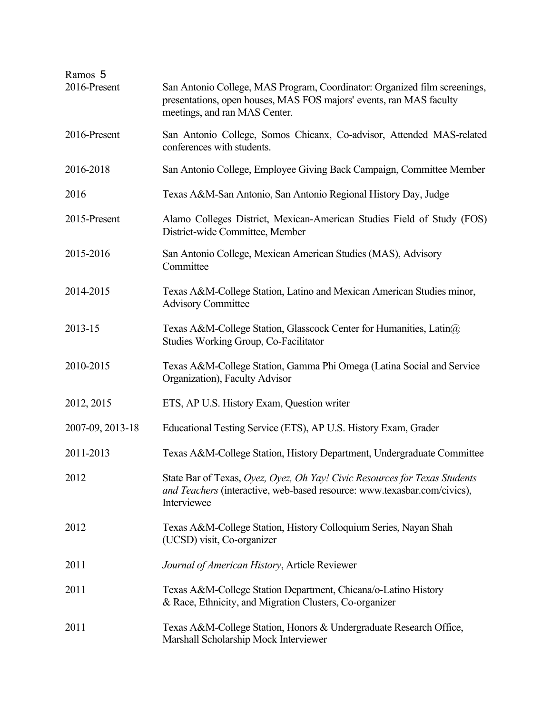| Ramos 5<br>2016-Present | San Antonio College, MAS Program, Coordinator: Organized film screenings,                                                                                             |
|-------------------------|-----------------------------------------------------------------------------------------------------------------------------------------------------------------------|
|                         | presentations, open houses, MAS FOS majors' events, ran MAS faculty<br>meetings, and ran MAS Center.                                                                  |
| 2016-Present            | San Antonio College, Somos Chicanx, Co-advisor, Attended MAS-related<br>conferences with students.                                                                    |
| 2016-2018               | San Antonio College, Employee Giving Back Campaign, Committee Member                                                                                                  |
| 2016                    | Texas A&M-San Antonio, San Antonio Regional History Day, Judge                                                                                                        |
| 2015-Present            | Alamo Colleges District, Mexican-American Studies Field of Study (FOS)<br>District-wide Committee, Member                                                             |
| 2015-2016               | San Antonio College, Mexican American Studies (MAS), Advisory<br>Committee                                                                                            |
| 2014-2015               | Texas A&M-College Station, Latino and Mexican American Studies minor,<br><b>Advisory Committee</b>                                                                    |
| 2013-15                 | Texas A&M-College Station, Glasscock Center for Humanities, Latin@<br><b>Studies Working Group, Co-Facilitator</b>                                                    |
| 2010-2015               | Texas A&M-College Station, Gamma Phi Omega (Latina Social and Service<br>Organization), Faculty Advisor                                                               |
| 2012, 2015              | ETS, AP U.S. History Exam, Question writer                                                                                                                            |
| 2007-09, 2013-18        | Educational Testing Service (ETS), AP U.S. History Exam, Grader                                                                                                       |
| 2011-2013               | Texas A&M-College Station, History Department, Undergraduate Committee                                                                                                |
| 2012                    | State Bar of Texas, Oyez, Oyez, Oh Yay! Civic Resources for Texas Students<br>and Teachers (interactive, web-based resource: www.texasbar.com/civics),<br>Interviewee |
| 2012                    | Texas A&M-College Station, History Colloquium Series, Nayan Shah<br>(UCSD) visit, Co-organizer                                                                        |
| 2011                    | Journal of American History, Article Reviewer                                                                                                                         |
| 2011                    | Texas A&M-College Station Department, Chicana/o-Latino History<br>& Race, Ethnicity, and Migration Clusters, Co-organizer                                             |
| 2011                    | Texas A&M-College Station, Honors & Undergraduate Research Office,<br>Marshall Scholarship Mock Interviewer                                                           |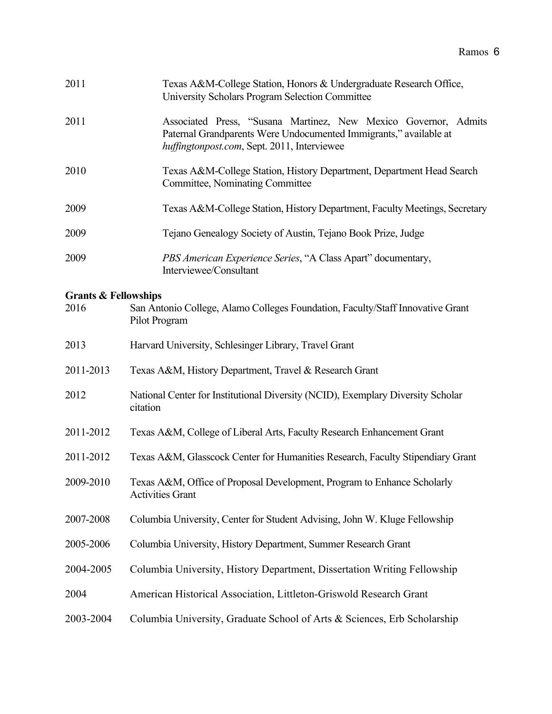| 2011                                    | Texas A&M-College Station, Honors & Undergraduate Research Office,<br>University Scholars Program Selection Committee                                                               |
|-----------------------------------------|-------------------------------------------------------------------------------------------------------------------------------------------------------------------------------------|
| 2011                                    | Associated Press, "Susana Martinez, New Mexico Governor, Admits<br>Paternal Grandparents Were Undocumented Immigrants," available at<br>huffingtonpost.com, Sept. 2011, Interviewee |
| 2010                                    | Texas A&M-College Station, History Department, Department Head Search<br>Committee, Nominating Committee                                                                            |
| 2009                                    | Texas A&M-College Station, History Department, Faculty Meetings, Secretary                                                                                                          |
| 2009                                    | Tejano Genealogy Society of Austin, Tejano Book Prize, Judge                                                                                                                        |
| 2009                                    | PBS American Experience Series, "A Class Apart" documentary,<br>Interviewee/Consultant                                                                                              |
| <b>Grants &amp; Fellowships</b><br>2016 | San Antonio College, Alamo Colleges Foundation, Faculty/Staff Innovative Grant<br>Pilot Program                                                                                     |
| 2013                                    | Harvard University, Schlesinger Library, Travel Grant                                                                                                                               |
| 2011-2013                               | Texas A&M, History Department, Travel & Research Grant                                                                                                                              |
| 2012                                    | National Center for Institutional Diversity (NCID), Exemplary Diversity Scholar<br>citation                                                                                         |
| 2011-2012                               | Texas A&M, College of Liberal Arts, Faculty Research Enhancement Grant                                                                                                              |
| 2011-2012                               | Texas A&M, Glasscock Center for Humanities Research, Faculty Stipendiary Grant                                                                                                      |
| 2009-2010                               | Texas A&M, Office of Proposal Development, Program to Enhance Scholarly<br><b>Activities Grant</b>                                                                                  |
| 2007-2008                               | Columbia University, Center for Student Advising, John W. Kluge Fellowship                                                                                                          |
| 2005-2006                               | Columbia University, History Department, Summer Research Grant                                                                                                                      |
| 2004-2005                               | Columbia University, History Department, Dissertation Writing Fellowship                                                                                                            |
| 2004                                    | American Historical Association, Littleton-Griswold Research Grant                                                                                                                  |
| 2003-2004                               | Columbia University, Graduate School of Arts & Sciences, Erb Scholarship                                                                                                            |